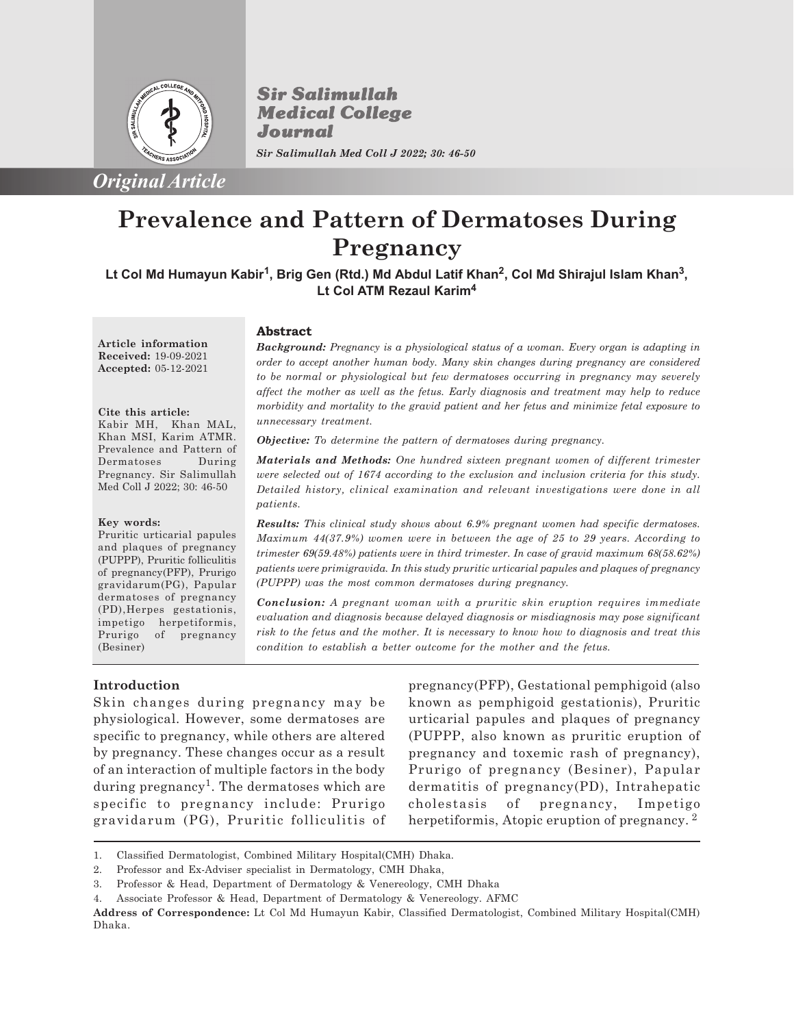

*Original Article*

**Sir Salimullah Medical College** Journal *Sir Salimullah Med Coll J 2022; 30: 46-50*

**Prevalence and Pattern of Dermatoses During Pregnancy**

**Lt Col Md Humayun Kabir<sup>1</sup> , Brig Gen (Rtd.) Md Abdul Latif Khan<sup>2</sup> , Col Md Shirajul Islam Khan<sup>3</sup> , Lt Col ATM Rezaul Karim<sup>4</sup>**

**Article information Received:** 19-09-2021 **Accepted:** 05-12-2021

**Cite this article:** Kabir MH, Khan MAL, Khan MSI, Karim ATMR. Prevalence and Pattern of Dermatoses During Pregnancy. Sir Salimullah Med Coll J 2022; 30: 46-50

#### **Abstract**

*Background: Pregnancy is a physiological status of a woman. Every organ is adapting in order to accept another human body. Many skin changes during pregnancy are considered to be normal or physiological but few dermatoses occurring in pregnancy may severely affect the mother as well as the fetus. Early diagnosis and treatment may help to reduce morbidity and mortality to the gravid patient and her fetus and minimize fetal exposure to unnecessary treatment.*

*Objective: To determine the pattern of dermatoses during pregnancy.*

*Materials and Methods: One hundred sixteen pregnant women of different trimester were selected out of 1674 according to the exclusion and inclusion criteria for this study. Detailed history, clinical examination and relevant investigations were done in all patients.*

#### **Key words:**

Pruritic urticarial papules and plaques of pregnancy (PUPPP), Pruritic folliculitis of pregnancy(PFP), Prurigo gravidarum(PG), Papular dermatoses of pregnancy (PD),Herpes gestationis, impetigo herpetiformis, Prurigo of pregnancy (Besiner)

*Results: This clinical study shows about 6.9% pregnant women had specific dermatoses. Maximum 44(37.9%) women were in between the age of 25 to 29 years. According to trimester 69(59.48%) patients were in third trimester. In case of gravid maximum 68(58.62%) patients were primigravida. In this study pruritic urticarial papules and plaques of pregnancy (PUPPP) was the most common dermatoses during pregnancy.*

*Conclusion: A pregnant woman with a pruritic skin eruption requires immediate evaluation and diagnosis because delayed diagnosis or misdiagnosis may pose significant risk to the fetus and the mother. It is necessary to know how to diagnosis and treat this condition to establish a better outcome for the mother and the fetus.*

### **Introduction**

Skin changes during pregnancy may be physiological. However, some dermatoses are specific to pregnancy, while others are altered by pregnancy. These changes occur as a result of an interaction of multiple factors in the body during pregnancy<sup>1</sup>. The dermatoses which are specific to pregnancy include: Prurigo gravidarum (PG), Pruritic folliculitis of pregnancy(PFP), Gestational pemphigoid (also known as pemphigoid gestationis), Pruritic urticarial papules and plaques of pregnancy (PUPPP, also known as pruritic eruption of pregnancy and toxemic rash of pregnancy), Prurigo of pregnancy (Besiner), Papular dermatitis of pregnancy(PD), Intrahepatic cholestasis of pregnancy, Impetigo herpetiformis, Atopic eruption of pregnancy.<sup>2</sup>

<sup>1.</sup> Classified Dermatologist, Combined Military Hospital(CMH) Dhaka.

<sup>2.</sup> Professor and Ex-Adviser specialist in Dermatology, CMH Dhaka,

<sup>3.</sup> Professor & Head, Department of Dermatology & Venereology, CMH Dhaka

<sup>4.</sup> Associate Professor & Head, Department of Dermatology & Venereology. AFMC

**Address of Correspondence:** Lt Col Md Humayun Kabir, Classified Dermatologist, Combined Military Hospital(CMH) Dhaka.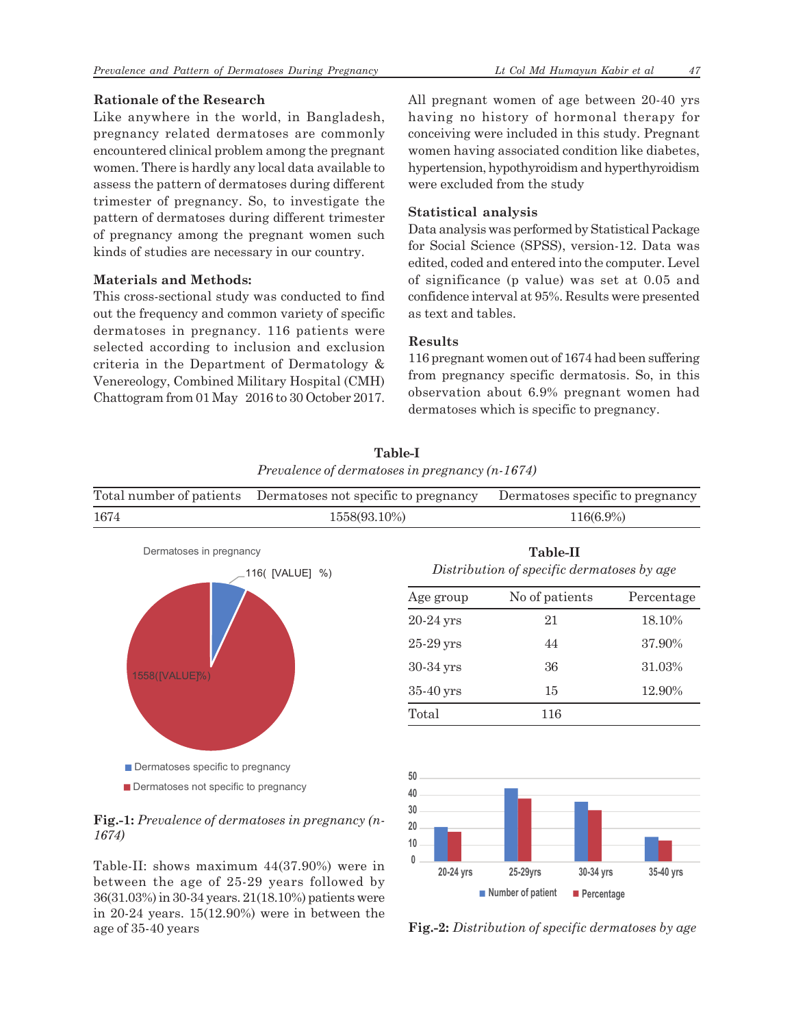# **Rationale of the Research**

Like anywhere in the world, in Bangladesh, pregnancy related dermatoses are commonly encountered clinical problem among the pregnant women. There is hardly any local data available to assess the pattern of dermatoses during different trimester of pregnancy. So, to investigate the pattern of dermatoses during different trimester of pregnancy among the pregnant women such kinds of studies are necessary in our country.

# **Materials and Methods:**

This cross-sectional study was conducted to find out the frequency and common variety of specific dermatoses in pregnancy. 116 patients were selected according to inclusion and exclusion criteria in the Department of Dermatology & Venereology, Combined Military Hospital (CMH) Chattogram from 01 May 2016 to 30 October 2017. All pregnant women of age between 20-40 yrs having no history of hormonal therapy for conceiving were included in this study. Pregnant women having associated condition like diabetes, hypertension, hypothyroidism and hyperthyroidism were excluded from the study

# **Statistical analysis**

Data analysis was performed by Statistical Package for Social Science (SPSS), version-12. Data was edited, coded and entered into the computer. Level of significance (p value) was set at 0.05 and confidence interval at 95%. Results were presented as text and tables.

# **Results**

116 pregnant women out of 1674 had been suffering from pregnancy specific dermatosis. So, in this observation about 6.9% pregnant women had dermatoses which is specific to pregnancy.

|      | Prevalence of dermatoses in pregnancy $(n-1674)$              |                                  |  |  |
|------|---------------------------------------------------------------|----------------------------------|--|--|
|      | Total number of patients Dermatoses not specific to pregnancy | Dermatoses specific to pregnancy |  |  |
| 1674 | 1558(93.10%)                                                  | 116(6.9%)                        |  |  |

**Table-I**



# **Fig.-1:** *Prevalence of dermatoses in pregnancy (n-1674)*

Table-II: shows maximum 44(37.90%) were in between the age of 25-29 years followed by 36(31.03%) in 30-34 years. 21(18.10%) patients were in 20-24 years. 15(12.90%) were in between the age of 35-40 years

| Age group   | No of patients | Percentage |
|-------------|----------------|------------|
| $20-24$ yrs | 21             | 18.10%     |
| $25-29$ yrs | 44             | 37.90%     |
| 30-34 yrs   | 36             | 31.03%     |
| $35-40$ yrs | 15             | 12.90%     |
| Total       | 116            |            |
|             |                |            |

**Table-II** *Distribution of specific dermatoses by age*



**Fig.-2:** *Distribution of specific dermatoses by age*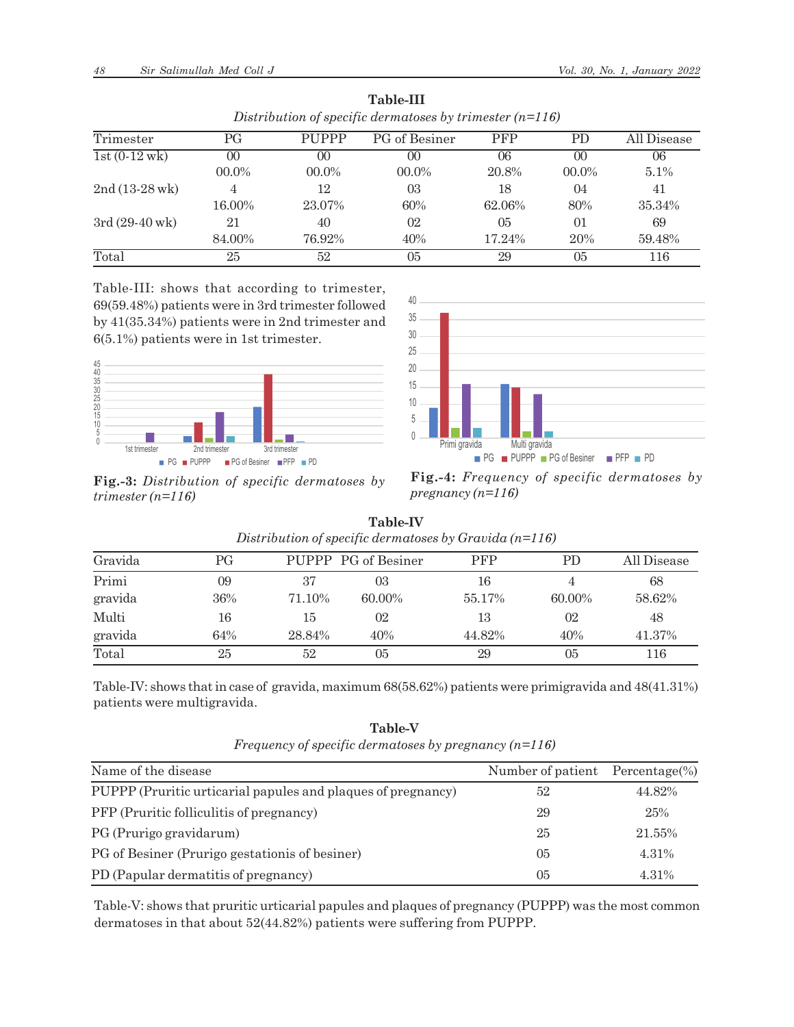| Trimester                | РG     | <b>PUPPP</b>   | PG of Besiner | <b>PFP</b> | <b>PD</b>       | All Disease |
|--------------------------|--------|----------------|---------------|------------|-----------------|-------------|
| $1st(0-12wk)$            | 00     | 0 <sup>0</sup> | 00            | 06         | 00 <sup>0</sup> | 06          |
|                          | 00.0%  | $00.0\%$       | $00.0\%$      | 20.8%      | $00.0\%$        | 5.1%        |
| $2nd(13-28$ wk $)$       | 4      | 12             | 03            | 18         | 04              | 41          |
|                          | 16.00% | 23.07%         | 60%           | 62.06%     | 80%             | 35.34%      |
| $3rd(29-40 \,\text{wk})$ | 21     | 40             | 02            | 05         | 01              | 69          |
|                          | 84.00% | 76.92%         | 40%           | 17.24%     | 20%             | 59.48%      |
| Total                    | 25     | 52             | 05            | 29         | 0 <sub>5</sub>  | 116         |

**Table-III** *Distribution of specific dermatoses by trimester (n=116)*

Table-III: shows that according to trimester, 69(59.48%) patients were in 3rd trimester followed by 41(35.34%) patients were in 2nd trimester and 6(5.1%) patients were in 1st trimester.





**Fig.-3:** *Distribution of specific dermatoses by trimester (n=116)*

**Fig.-4:** *Frequency of specific dermatoses by pregnancy (n=116)*

| Distribution of specific dermatoses by Gravida $(n=116)$ |     |        |                     |            |           |             |
|----------------------------------------------------------|-----|--------|---------------------|------------|-----------|-------------|
| Gravida                                                  | РG  |        | PUPPP PG of Besiner | <b>PFP</b> | PD.       | All Disease |
| Primi                                                    | 09  | 37     | 03                  | 16         |           | 68          |
| gravida                                                  | 36% | 71.10% | 60.00%              | 55.17%     | $60.00\%$ | 58.62%      |
| Multi                                                    | 16  | 15     | 02                  | 13         | 02        | 48          |
| gravida                                                  | 64% | 28.84% | 40%                 | 44.82%     | 40%       | 41.37%      |
| Total                                                    | 25  | 52     | 05                  | 29         | 05        | 116         |

**Table-IV**

| Table-IV: shows that in case of gravida, maximum 68(58.62%) patients were primigravida and 48(41.31%) |  |  |
|-------------------------------------------------------------------------------------------------------|--|--|
| patients were multigravida.                                                                           |  |  |

**Table-V** *Frequency of specific dermatoses by pregnancy (n=116)*

| Name of the disease                                          | Number of patient Percentage(%) |        |
|--------------------------------------------------------------|---------------------------------|--------|
|                                                              |                                 |        |
| PUPPP (Pruritic urticarial papules and plaques of pregnancy) | 52                              | 44.82% |
| <b>PFP</b> (Pruritic folliculitis of pregnancy)              | 29                              | 25%    |
| PG (Prurigo gravidarum)                                      | 25                              | 21.55% |
| PG of Besiner (Prurigo gestationis of besiner)               | 0 <sub>5</sub>                  | 4.31%  |
| PD (Papular dermatitis of pregnancy)                         | 05                              | 4.31%  |

Table-V: shows that pruritic urticarial papules and plaques of pregnancy (PUPPP) was the most common dermatoses in that about 52(44.82%) patients were suffering from PUPPP.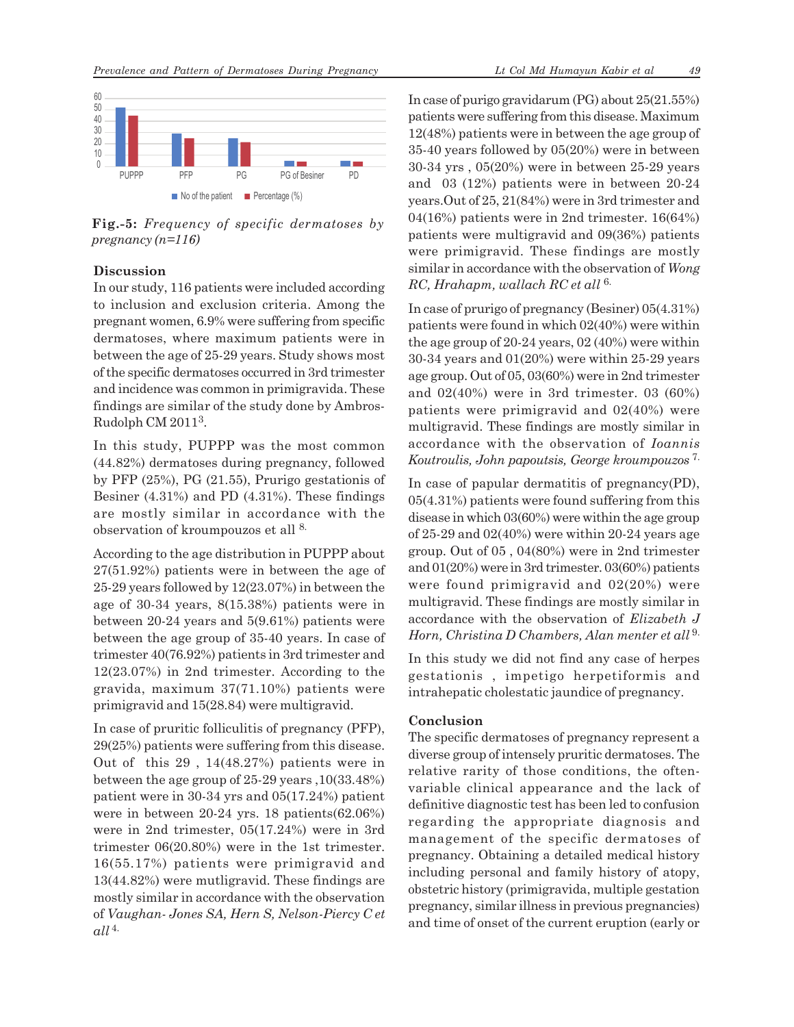

**Fig.-5:** *Frequency of specific dermatoses by pregnancy (n=116)*

### **Discussion**

In our study, 116 patients were included according to inclusion and exclusion criteria. Among the pregnant women, 6.9% were suffering from specific dermatoses, where maximum patients were in between the age of 25-29 years. Study shows most of the specific dermatoses occurred in 3rd trimester and incidence was common in primigravida. These findings are similar of the study done by Ambros-Rudolph CM 2011<sup>3</sup>.

In this study, PUPPP was the most common (44.82%) dermatoses during pregnancy, followed by PFP (25%), PG (21.55), Prurigo gestationis of Besiner (4.31%) and PD (4.31%). These findings are mostly similar in accordance with the observation of kroumpouzos et all 8.

According to the age distribution in PUPPP about 27(51.92%) patients were in between the age of 25-29 years followed by 12(23.07%) in between the age of 30-34 years, 8(15.38%) patients were in between 20-24 years and 5(9.61%) patients were between the age group of 35-40 years. In case of trimester 40(76.92%) patients in 3rd trimester and 12(23.07%) in 2nd trimester. According to the gravida, maximum 37(71.10%) patients were primigravid and 15(28.84) were multigravid.

In case of pruritic folliculitis of pregnancy (PFP), 29(25%) patients were suffering from this disease. Out of this 29 , 14(48.27%) patients were in between the age group of 25-29 years ,10(33.48%) patient were in 30-34 yrs and 05(17.24%) patient were in between 20-24 yrs. 18 patients(62.06%) were in 2nd trimester, 05(17.24%) were in 3rd trimester 06(20.80%) were in the 1st trimester. 16(55.17%) patients were primigravid and 13(44.82%) were mutligravid. These findings are mostly similar in accordance with the observation of *Vaughan- Jones SA, Hern S, Nelson-Piercy C et*  $all<sup>4</sup>$ 

In case of purigo gravidarum (PG) about 25(21.55%) patients were suffering from this disease. Maximum 12(48%) patients were in between the age group of 35-40 years followed by 05(20%) were in between 30-34 yrs , 05(20%) were in between 25-29 years and 03 (12%) patients were in between 20-24 years.Out of 25, 21(84%) were in 3rd trimester and 04(16%) patients were in 2nd trimester. 16(64%) patients were multigravid and 09(36%) patients were primigravid. These findings are mostly similar in accordance with the observation of *Wong RC, Hrahapm, wallach RC et all* 6.

In case of prurigo of pregnancy (Besiner) 05(4.31%) patients were found in which 02(40%) were within the age group of 20-24 years, 02 (40%) were within 30-34 years and 01(20%) were within 25-29 years age group. Out of 05, 03(60%) were in 2nd trimester and 02(40%) were in 3rd trimester. 03 (60%) patients were primigravid and 02(40%) were multigravid. These findings are mostly similar in accordance with the observation of *Ioannis Koutroulis, John papoutsis, George kroumpouzos* 7.

In case of papular dermatitis of pregnancy(PD), 05(4.31%) patients were found suffering from this disease in which 03(60%) were within the age group of 25-29 and 02(40%) were within 20-24 years age group. Out of 05 , 04(80%) were in 2nd trimester and 01(20%) were in 3rd trimester. 03(60%) patients were found primigravid and 02(20%) were multigravid. These findings are mostly similar in accordance with the observation of *Elizabeth J Horn, Christina D Chambers, Alan menter et all* <sup>9.</sup>

In this study we did not find any case of herpes gestationis , impetigo herpetiformis and intrahepatic cholestatic jaundice of pregnancy.

### **Conclusion**

The specific dermatoses of pregnancy represent a diverse group of intensely pruritic dermatoses. The relative rarity of those conditions, the oftenvariable clinical appearance and the lack of definitive diagnostic test has been led to confusion regarding the appropriate diagnosis and management of the specific dermatoses of pregnancy. Obtaining a detailed medical history including personal and family history of atopy, obstetric history (primigravida, multiple gestation pregnancy, similar illness in previous pregnancies) and time of onset of the current eruption (early or